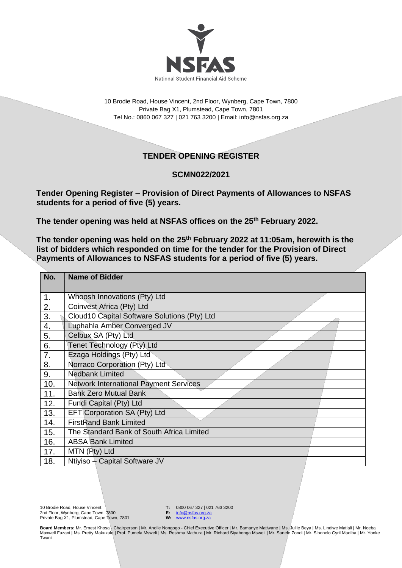

10 Brodie Road, House Vincent, 2nd Floor, Wynberg, Cape Town, 7800 Private Bag X1, Plumstead, Cape Town, 7801 Tel No.: 0860 067 327 | 021 763 3200 | Email[: info@nsfas.org.za](mailto:info@nsfas.org.za)

## **TENDER OPENING REGISTER**

## **SCMN022/2021**

**Tender Opening Register – Provision of Direct Payments of Allowances to NSFAS students for a period of five (5) years.**

**The tender opening was held at NSFAS offices on the 25 th February 2022.**

**The tender opening was held on the 25th February 2022 at 11:05am, herewith is the list of bidders which responded on time for the tender for the Provision of Direct Payments of Allowances to NSFAS students for a period of five (5) years.**

| No. | <b>Name of Bidder</b>                         |
|-----|-----------------------------------------------|
| 1.  | Whoosh Innovations (Pty) Ltd                  |
| 2.  | Coinvest Africa (Pty) Ltd                     |
| 3.  | Cloud10 Capital Software Solutions (Pty) Ltd  |
| 4.  | Luphahla Amber Converged JV                   |
| 5.  | Celbux SA (Pty) Ltd                           |
| 6.  | Tenet Technology (Pty) Ltd                    |
| 7.  | Ezaga Holdings (Pty) Ltd                      |
| 8.  | Norraco Corporation (Pty) Ltd                 |
| 9.  | <b>Nedbank Limited</b>                        |
| 10. | <b>Network International Payment Services</b> |
| 11. | <b>Bank Zero Mutual Bank</b>                  |
| 12. | Fundi Capital (Pty) Ltd                       |
| 13. | EFT Corporation SA (Pty) Ltd                  |
| 14. | <b>FirstRand Bank Limited</b>                 |
| 15. | The Standard Bank of South Africa Limited     |
| 16. | <b>ABSA Bank Limited</b>                      |
| 17. | MTN (Pty) Ltd                                 |
| 18. | Ntiyiso - Capital Software JV                 |

**T:** 0800 067 327 | 021 763 3200<br>**E:** info@nsfas.org.za **E:** [info@nsfas.org.za](mailto:info@nsfas.org.za)

**W:** [www.nsfas.org.za](http://www.nsfas.org.za/)

**Board Members:** Mr. Ernest Khosa - Chairperson | Mr. Andile Nongogo - Chief Executive Officer | Mr. Bamanye Matiwane | Ms. Jullie Beya | Ms. Lindiwe Matlali | Mr. Nceba Maxwell Fuzani | Ms. Pretty Makukule | Prof. Pumela Msweli | Ms. Reshma Mathura | Mr. Richard Siyabonga Msweli | Mr. Sanele Zondi | Mr. Sibonelo Cyril Madiba | Mr. Yonke Twani